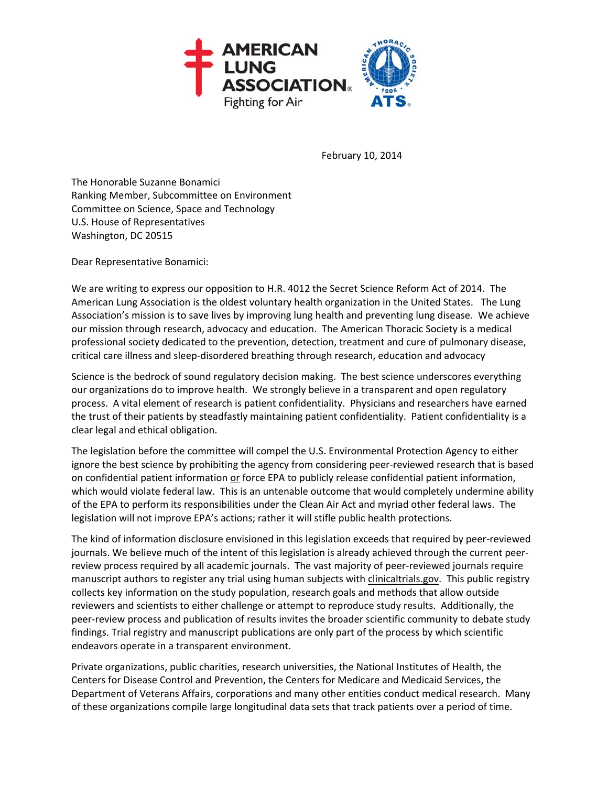

February 10, 2014

The Honorable Suzanne Bonamici Ranking Member, Subcommittee on Environment Committee on Science, Space and Technology U.S. House of Representatives Washington, DC 20515

Dear Representative Bonamici:

We are writing to express our opposition to H.R. 4012 the Secret Science Reform Act of 2014. The American Lung Association is the oldest voluntary health organization in the United States. The Lung Association's mission is to save lives by improving lung health and preventing lung disease. We achieve our mission through research, advocacy and education. The American Thoracic Society is a medical professional society dedicated to the prevention, detection, treatment and cure of pulmonary disease, critical care illness and sleep‐disordered breathing through research, education and advocacy

Science is the bedrock of sound regulatory decision making. The best science underscores everything our organizations do to improve health. We strongly believe in a transparent and open regulatory process. A vital element of research is patient confidentiality. Physicians and researchers have earned the trust of their patients by steadfastly maintaining patient confidentiality. Patient confidentiality is a clear legal and ethical obligation.

The legislation before the committee will compel the U.S. Environmental Protection Agency to either ignore the best science by prohibiting the agency from considering peer‐reviewed research that is based on confidential patient information or force EPA to publicly release confidential patient information, which would violate federal law. This is an untenable outcome that would completely undermine ability of the EPA to perform its responsibilities under the Clean Air Act and myriad other federal laws. The legislation will not improve EPA's actions; rather it will stifle public health protections.

The kind of information disclosure envisioned in this legislation exceeds that required by peer‐reviewed journals. We believe much of the intent of this legislation is already achieved through the current peer‐ review process required by all academic journals. The vast majority of peer‐reviewed journals require manuscript authors to register any trial using human subjects with clinicaltrials.gov. This public registry collects key information on the study population, research goals and methods that allow outside reviewers and scientists to either challenge or attempt to reproduce study results. Additionally, the peer-review process and publication of results invites the broader scientific community to debate study findings. Trial registry and manuscript publications are only part of the process by which scientific endeavors operate in a transparent environment.

Private organizations, public charities, research universities, the National Institutes of Health, the Centers for Disease Control and Prevention, the Centers for Medicare and Medicaid Services, the Department of Veterans Affairs, corporations and many other entities conduct medical research. Many of these organizations compile large longitudinal data sets that track patients over a period of time.